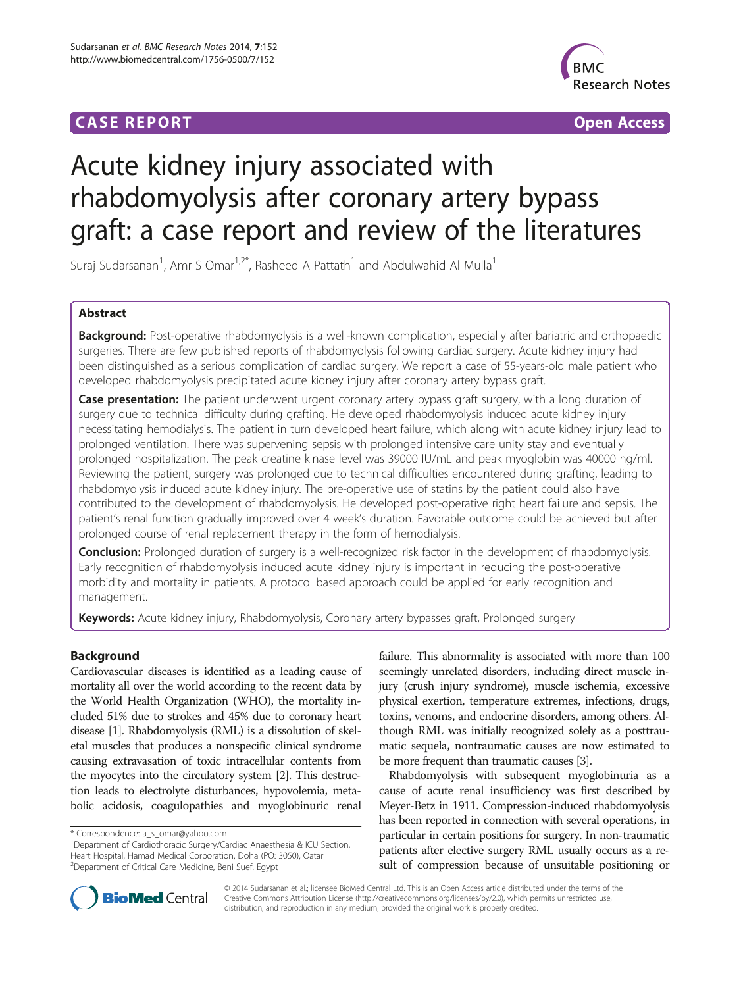## **CASE REPORT CASE REPORT CASE ACCESS**



# Acute kidney injury associated with rhabdomyolysis after coronary artery bypass graft: a case report and review of the literatures

Suraj Sudarsanan<sup>1</sup>, Amr S Omar<sup>1,2\*</sup>, Rasheed A Pattath<sup>1</sup> and Abdulwahid Al Mulla<sup>1</sup>

## Abstract

Background: Post-operative rhabdomyolysis is a well-known complication, especially after bariatric and orthopaedic surgeries. There are few published reports of rhabdomyolysis following cardiac surgery. Acute kidney injury had been distinguished as a serious complication of cardiac surgery. We report a case of 55-years-old male patient who developed rhabdomyolysis precipitated acute kidney injury after coronary artery bypass graft.

Case presentation: The patient underwent urgent coronary artery bypass graft surgery, with a long duration of surgery due to technical difficulty during grafting. He developed rhabdomyolysis induced acute kidney injury necessitating hemodialysis. The patient in turn developed heart failure, which along with acute kidney injury lead to prolonged ventilation. There was supervening sepsis with prolonged intensive care unity stay and eventually prolonged hospitalization. The peak creatine kinase level was 39000 IU/mL and peak myoglobin was 40000 ng/ml. Reviewing the patient, surgery was prolonged due to technical difficulties encountered during grafting, leading to rhabdomyolysis induced acute kidney injury. The pre-operative use of statins by the patient could also have contributed to the development of rhabdomyolysis. He developed post-operative right heart failure and sepsis. The patient's renal function gradually improved over 4 week's duration. Favorable outcome could be achieved but after prolonged course of renal replacement therapy in the form of hemodialysis.

Conclusion: Prolonged duration of surgery is a well-recognized risk factor in the development of rhabdomyolysis. Early recognition of rhabdomyolysis induced acute kidney injury is important in reducing the post-operative morbidity and mortality in patients. A protocol based approach could be applied for early recognition and management.

Keywords: Acute kidney injury, Rhabdomyolysis, Coronary artery bypasses graft, Prolonged surgery

## Background

Cardiovascular diseases is identified as a leading cause of mortality all over the world according to the recent data by the World Health Organization (WHO), the mortality included 51% due to strokes and 45% due to coronary heart disease [\[1\]](#page-4-0). Rhabdomyolysis (RML) is a dissolution of skeletal muscles that produces a nonspecific clinical syndrome causing extravasation of toxic intracellular contents from the myocytes into the circulatory system [[2](#page-4-0)]. This destruction leads to electrolyte disturbances, hypovolemia, metabolic acidosis, coagulopathies and myoglobinuric renal

failure. This abnormality is associated with more than 100 seemingly unrelated disorders, including direct muscle injury (crush injury syndrome), muscle ischemia, excessive physical exertion, temperature extremes, infections, drugs, toxins, venoms, and endocrine disorders, among others. Although RML was initially recognized solely as a posttraumatic sequela, nontraumatic causes are now estimated to be more frequent than traumatic causes [\[3](#page-4-0)].

Rhabdomyolysis with subsequent myoglobinuria as a cause of acute renal insufficiency was first described by Meyer-Betz in 1911. Compression-induced rhabdomyolysis has been reported in connection with several operations, in particular in certain positions for surgery. In non-traumatic patients after elective surgery RML usually occurs as a result of compression because of unsuitable positioning or



© 2014 Sudarsanan et al.; licensee BioMed Central Ltd. This is an Open Access article distributed under the terms of the Creative Commons Attribution License (<http://creativecommons.org/licenses/by/2.0>), which permits unrestricted use, distribution, and reproduction in any medium, provided the original work is properly credited.

<sup>\*</sup> Correspondence: [a\\_s\\_omar@yahoo.com](mailto:a_s_omar@yahoo.com) <sup>1</sup>

<sup>&</sup>lt;sup>1</sup>Department of Cardiothoracic Surgery/Cardiac Anaesthesia & ICU Section, Heart Hospital, Hamad Medical Corporation, Doha (PO: 3050), Qatar <sup>2</sup>Department of Critical Care Medicine, Beni Suef, Egypt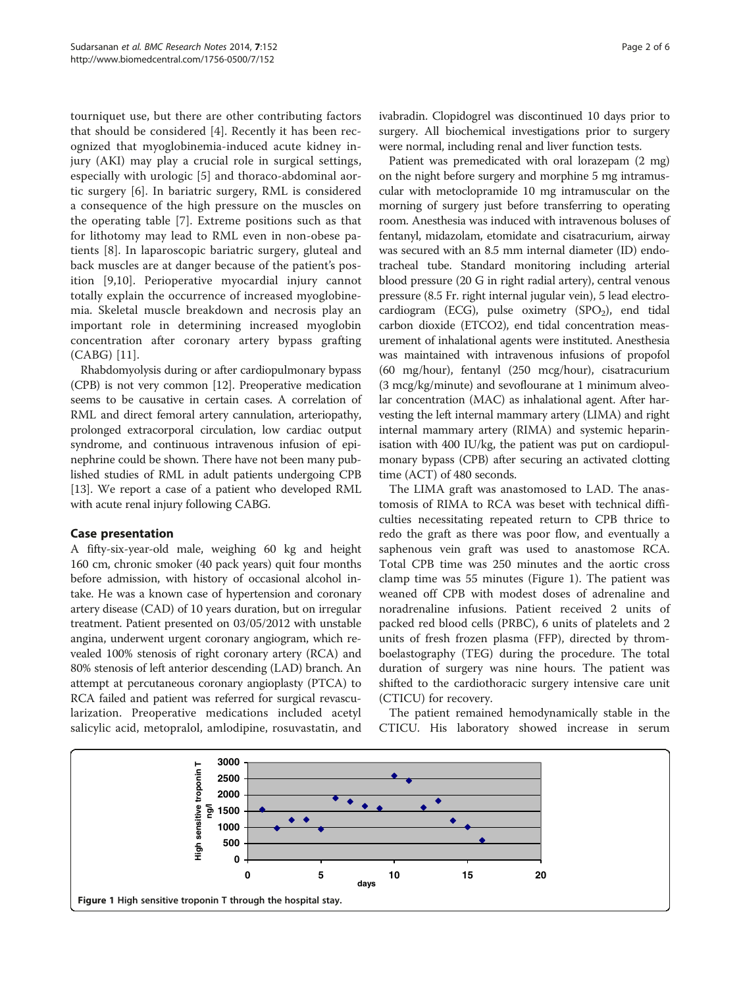tourniquet use, but there are other contributing factors that should be considered [\[4](#page-4-0)]. Recently it has been recognized that myoglobinemia-induced acute kidney injury (AKI) may play a crucial role in surgical settings, especially with urologic [\[5](#page-4-0)] and thoraco-abdominal aortic surgery [\[6](#page-4-0)]. In bariatric surgery, RML is considered a consequence of the high pressure on the muscles on the operating table [\[7](#page-4-0)]. Extreme positions such as that for lithotomy may lead to RML even in non-obese patients [[8\]](#page-4-0). In laparoscopic bariatric surgery, gluteal and back muscles are at danger because of the patient's position [\[9](#page-4-0),[10\]](#page-4-0). Perioperative myocardial injury cannot totally explain the occurrence of increased myoglobinemia. Skeletal muscle breakdown and necrosis play an important role in determining increased myoglobin concentration after coronary artery bypass grafting (CABG) [[11\]](#page-4-0).

Rhabdomyolysis during or after cardiopulmonary bypass (CPB) is not very common [\[12\]](#page-4-0). Preoperative medication seems to be causative in certain cases. A correlation of RML and direct femoral artery cannulation, arteriopathy, prolonged extracorporal circulation, low cardiac output syndrome, and continuous intravenous infusion of epinephrine could be shown. There have not been many published studies of RML in adult patients undergoing CPB [[13](#page-4-0)]. We report a case of a patient who developed RML with acute renal injury following CABG.

## Case presentation

A fifty-six-year-old male, weighing 60 kg and height 160 cm, chronic smoker (40 pack years) quit four months before admission, with history of occasional alcohol intake. He was a known case of hypertension and coronary artery disease (CAD) of 10 years duration, but on irregular treatment. Patient presented on 03/05/2012 with unstable angina, underwent urgent coronary angiogram, which revealed 100% stenosis of right coronary artery (RCA) and 80% stenosis of left anterior descending (LAD) branch. An attempt at percutaneous coronary angioplasty (PTCA) to RCA failed and patient was referred for surgical revascularization. Preoperative medications included acetyl salicylic acid, metopralol, amlodipine, rosuvastatin, and ivabradin. Clopidogrel was discontinued 10 days prior to surgery. All biochemical investigations prior to surgery were normal, including renal and liver function tests.

Patient was premedicated with oral lorazepam (2 mg) on the night before surgery and morphine 5 mg intramuscular with metoclopramide 10 mg intramuscular on the morning of surgery just before transferring to operating room. Anesthesia was induced with intravenous boluses of fentanyl, midazolam, etomidate and cisatracurium, airway was secured with an 8.5 mm internal diameter (ID) endotracheal tube. Standard monitoring including arterial blood pressure (20 G in right radial artery), central venous pressure (8.5 Fr. right internal jugular vein), 5 lead electrocardiogram (ECG), pulse oximetry (SPO<sub>2</sub>), end tidal carbon dioxide (ETCO2), end tidal concentration measurement of inhalational agents were instituted. Anesthesia was maintained with intravenous infusions of propofol (60 mg/hour), fentanyl (250 mcg/hour), cisatracurium (3 mcg/kg/minute) and sevoflourane at 1 minimum alveolar concentration (MAC) as inhalational agent. After harvesting the left internal mammary artery (LIMA) and right internal mammary artery (RIMA) and systemic heparinisation with 400 IU/kg, the patient was put on cardiopulmonary bypass (CPB) after securing an activated clotting time (ACT) of 480 seconds.

The LIMA graft was anastomosed to LAD. The anastomosis of RIMA to RCA was beset with technical difficulties necessitating repeated return to CPB thrice to redo the graft as there was poor flow, and eventually a saphenous vein graft was used to anastomose RCA. Total CPB time was 250 minutes and the aortic cross clamp time was 55 minutes (Figure 1). The patient was weaned off CPB with modest doses of adrenaline and noradrenaline infusions. Patient received 2 units of packed red blood cells (PRBC), 6 units of platelets and 2 units of fresh frozen plasma (FFP), directed by thromboelastography (TEG) during the procedure. The total duration of surgery was nine hours. The patient was shifted to the cardiothoracic surgery intensive care unit (CTICU) for recovery.

The patient remained hemodynamically stable in the CTICU. His laboratory showed increase in serum

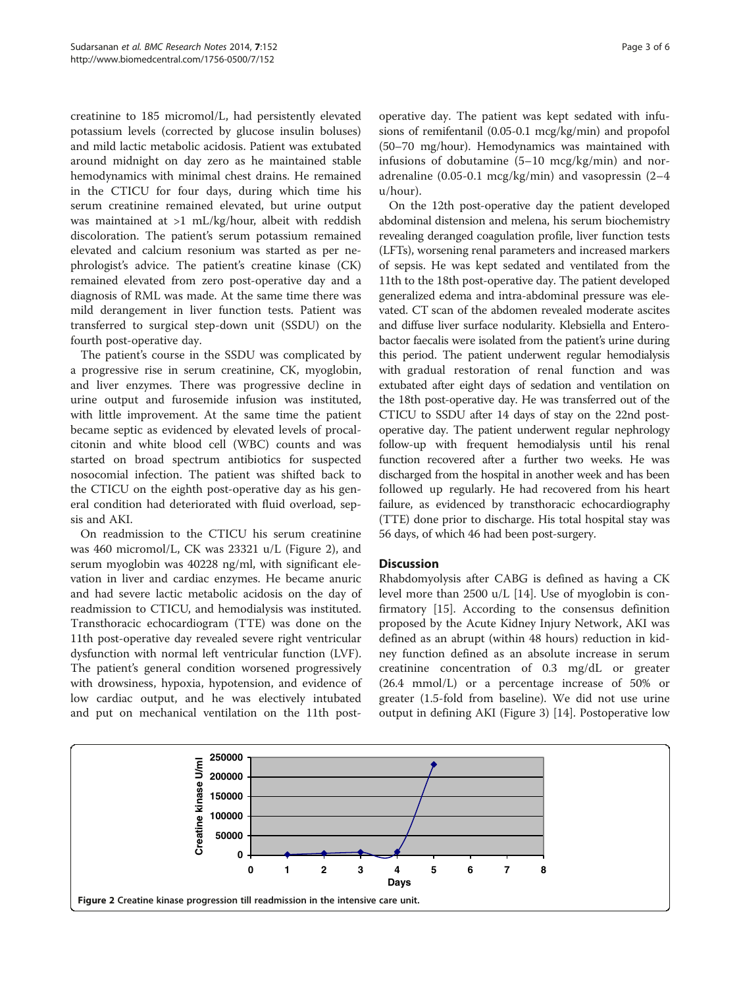creatinine to 185 micromol/L, had persistently elevated potassium levels (corrected by glucose insulin boluses) and mild lactic metabolic acidosis. Patient was extubated around midnight on day zero as he maintained stable hemodynamics with minimal chest drains. He remained in the CTICU for four days, during which time his serum creatinine remained elevated, but urine output was maintained at >1 mL/kg/hour, albeit with reddish discoloration. The patient's serum potassium remained elevated and calcium resonium was started as per nephrologist's advice. The patient's creatine kinase (CK) remained elevated from zero post-operative day and a diagnosis of RML was made. At the same time there was mild derangement in liver function tests. Patient was transferred to surgical step-down unit (SSDU) on the fourth post-operative day.

The patient's course in the SSDU was complicated by a progressive rise in serum creatinine, CK, myoglobin, and liver enzymes. There was progressive decline in urine output and furosemide infusion was instituted, with little improvement. At the same time the patient became septic as evidenced by elevated levels of procalcitonin and white blood cell (WBC) counts and was started on broad spectrum antibiotics for suspected nosocomial infection. The patient was shifted back to the CTICU on the eighth post-operative day as his general condition had deteriorated with fluid overload, sepsis and AKI.

On readmission to the CTICU his serum creatinine was 460 micromol/L, CK was 23321 u/L (Figure 2), and serum myoglobin was 40228 ng/ml, with significant elevation in liver and cardiac enzymes. He became anuric and had severe lactic metabolic acidosis on the day of readmission to CTICU, and hemodialysis was instituted. Transthoracic echocardiogram (TTE) was done on the 11th post-operative day revealed severe right ventricular dysfunction with normal left ventricular function (LVF). The patient's general condition worsened progressively with drowsiness, hypoxia, hypotension, and evidence of low cardiac output, and he was electively intubated and put on mechanical ventilation on the 11th postoperative day. The patient was kept sedated with infusions of remifentanil (0.05-0.1 mcg/kg/min) and propofol (50–70 mg/hour). Hemodynamics was maintained with infusions of dobutamine (5–10 mcg/kg/min) and noradrenaline (0.05-0.1 mcg/kg/min) and vasopressin (2–4 u/hour).

On the 12th post-operative day the patient developed abdominal distension and melena, his serum biochemistry revealing deranged coagulation profile, liver function tests (LFTs), worsening renal parameters and increased markers of sepsis. He was kept sedated and ventilated from the 11th to the 18th post-operative day. The patient developed generalized edema and intra-abdominal pressure was elevated. CT scan of the abdomen revealed moderate ascites and diffuse liver surface nodularity. Klebsiella and Enterobactor faecalis were isolated from the patient's urine during this period. The patient underwent regular hemodialysis with gradual restoration of renal function and was extubated after eight days of sedation and ventilation on the 18th post-operative day. He was transferred out of the CTICU to SSDU after 14 days of stay on the 22nd postoperative day. The patient underwent regular nephrology follow-up with frequent hemodialysis until his renal function recovered after a further two weeks. He was discharged from the hospital in another week and has been followed up regularly. He had recovered from his heart failure, as evidenced by transthoracic echocardiography (TTE) done prior to discharge. His total hospital stay was 56 days, of which 46 had been post-surgery.

## **Discussion**

Rhabdomyolysis after CABG is defined as having a CK level more than 2500 u/L [\[14\]](#page-4-0). Use of myoglobin is confirmatory [\[15](#page-4-0)]. According to the consensus definition proposed by the Acute Kidney Injury Network, AKI was defined as an abrupt (within 48 hours) reduction in kidney function defined as an absolute increase in serum creatinine concentration of 0.3 mg/dL or greater (26.4 mmol/L) or a percentage increase of 50% or greater (1.5-fold from baseline). We did not use urine output in defining AKI (Figure [3\)](#page-3-0) [[14\]](#page-4-0). Postoperative low

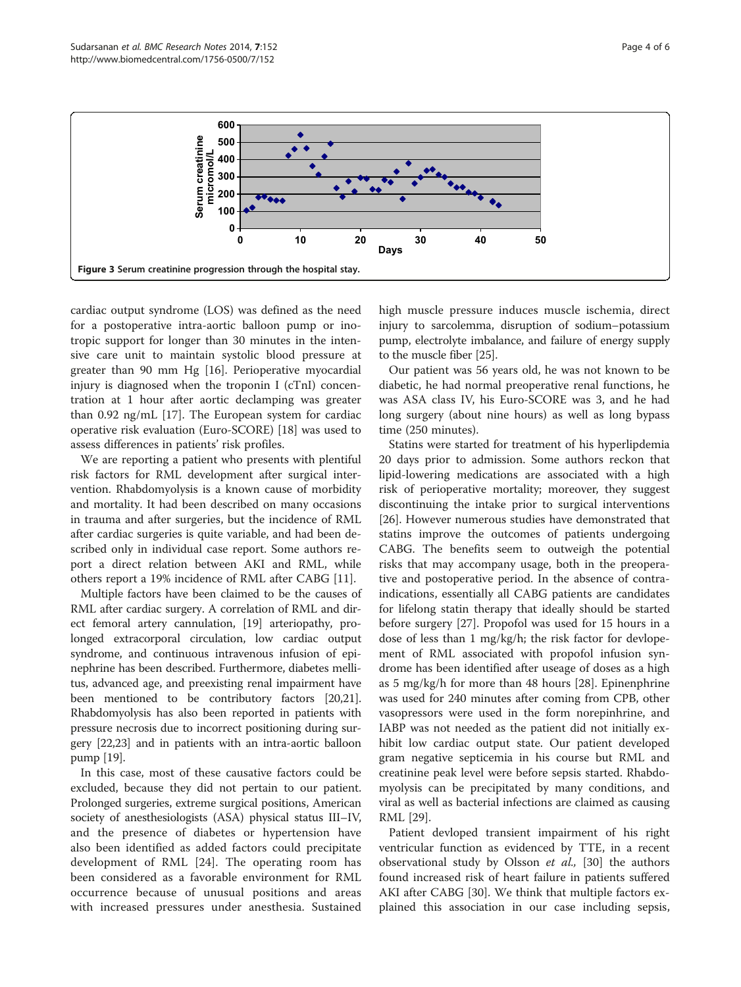<span id="page-3-0"></span>

cardiac output syndrome (LOS) was defined as the need for a postoperative intra-aortic balloon pump or inotropic support for longer than 30 minutes in the intensive care unit to maintain systolic blood pressure at greater than 90 mm Hg [[16\]](#page-4-0). Perioperative myocardial injury is diagnosed when the troponin I (cTnI) concentration at 1 hour after aortic declamping was greater than 0.92 ng/mL [\[17](#page-4-0)]. The European system for cardiac operative risk evaluation (Euro-SCORE) [\[18](#page-4-0)] was used to assess differences in patients' risk profiles.

We are reporting a patient who presents with plentiful risk factors for RML development after surgical intervention. Rhabdomyolysis is a known cause of morbidity and mortality. It had been described on many occasions in trauma and after surgeries, but the incidence of RML after cardiac surgeries is quite variable, and had been described only in individual case report. Some authors report a direct relation between AKI and RML, while others report a 19% incidence of RML after CABG [\[11](#page-4-0)].

Multiple factors have been claimed to be the causes of RML after cardiac surgery. A correlation of RML and direct femoral artery cannulation, [\[19\]](#page-4-0) arteriopathy, prolonged extracorporal circulation, low cardiac output syndrome, and continuous intravenous infusion of epinephrine has been described. Furthermore, diabetes mellitus, advanced age, and preexisting renal impairment have been mentioned to be contributory factors [\[20,](#page-4-0)[21](#page-5-0)]. Rhabdomyolysis has also been reported in patients with pressure necrosis due to incorrect positioning during surgery [[22,23](#page-5-0)] and in patients with an intra-aortic balloon pump [\[19\]](#page-4-0).

In this case, most of these causative factors could be excluded, because they did not pertain to our patient. Prolonged surgeries, extreme surgical positions, American society of anesthesiologists (ASA) physical status III–IV, and the presence of diabetes or hypertension have also been identified as added factors could precipitate development of RML [[24\]](#page-5-0). The operating room has been considered as a favorable environment for RML occurrence because of unusual positions and areas with increased pressures under anesthesia. Sustained high muscle pressure induces muscle ischemia, direct injury to sarcolemma, disruption of sodium–potassium pump, electrolyte imbalance, and failure of energy supply to the muscle fiber [\[25\]](#page-5-0).

Our patient was 56 years old, he was not known to be diabetic, he had normal preoperative renal functions, he was ASA class IV, his Euro-SCORE was 3, and he had long surgery (about nine hours) as well as long bypass time (250 minutes).

Statins were started for treatment of his hyperlipdemia 20 days prior to admission. Some authors reckon that lipid-lowering medications are associated with a high risk of perioperative mortality; moreover, they suggest discontinuing the intake prior to surgical interventions [[26\]](#page-5-0). However numerous studies have demonstrated that statins improve the outcomes of patients undergoing CABG. The benefits seem to outweigh the potential risks that may accompany usage, both in the preoperative and postoperative period. In the absence of contraindications, essentially all CABG patients are candidates for lifelong statin therapy that ideally should be started before surgery [\[27\]](#page-5-0). Propofol was used for 15 hours in a dose of less than 1 mg/kg/h; the risk factor for devlopement of RML associated with propofol infusion syndrome has been identified after useage of doses as a high as 5 mg/kg/h for more than 48 hours [\[28](#page-5-0)]. Epinenphrine was used for 240 minutes after coming from CPB, other vasopressors were used in the form norepinhrine, and IABP was not needed as the patient did not initially exhibit low cardiac output state. Our patient developed gram negative septicemia in his course but RML and creatinine peak level were before sepsis started. Rhabdomyolysis can be precipitated by many conditions, and viral as well as bacterial infections are claimed as causing RML [[29](#page-5-0)].

Patient devloped transient impairment of his right ventricular function as evidenced by TTE, in a recent observational study by Olsson et al., [[30\]](#page-5-0) the authors found increased risk of heart failure in patients suffered AKI after CABG [\[30\]](#page-5-0). We think that multiple factors explained this association in our case including sepsis,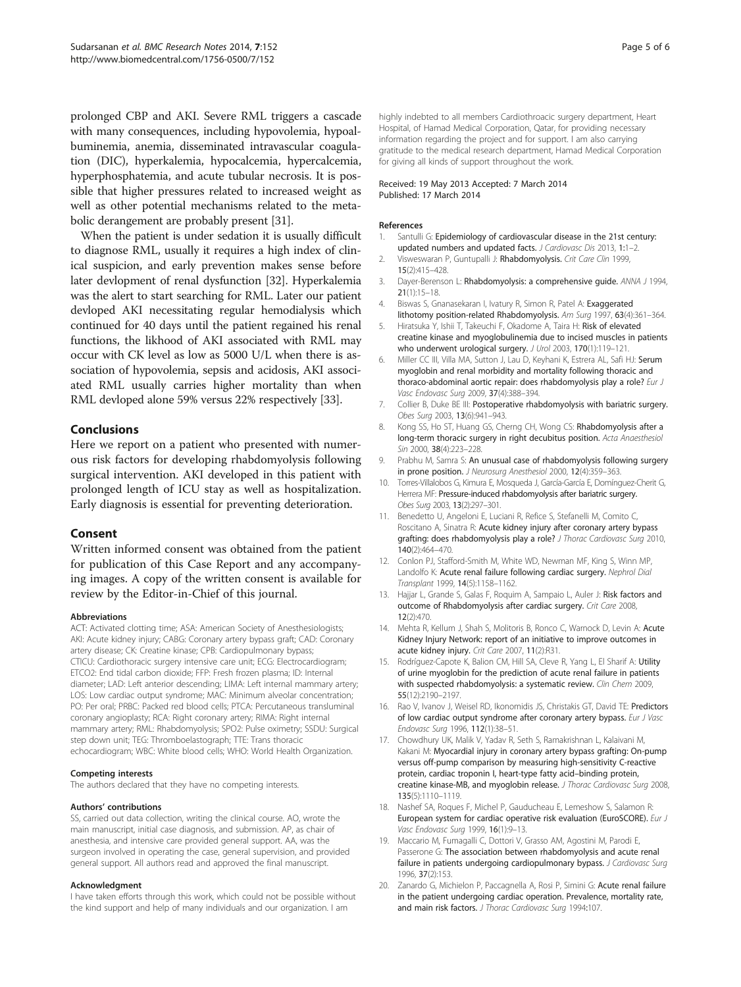<span id="page-4-0"></span>prolonged CBP and AKI. Severe RML triggers a cascade with many consequences, including hypovolemia, hypoalbuminemia, anemia, disseminated intravascular coagulation (DIC), hyperkalemia, hypocalcemia, hypercalcemia, hyperphosphatemia, and acute tubular necrosis. It is possible that higher pressures related to increased weight as well as other potential mechanisms related to the metabolic derangement are probably present [\[31\]](#page-5-0).

When the patient is under sedation it is usually difficult to diagnose RML, usually it requires a high index of clinical suspicion, and early prevention makes sense before later devlopment of renal dysfunction [[32](#page-5-0)]. Hyperkalemia was the alert to start searching for RML. Later our patient devloped AKI necessitating regular hemodialysis which continued for 40 days until the patient regained his renal functions, the likhood of AKI associated with RML may occur with CK level as low as 5000 U/L when there is association of hypovolemia, sepsis and acidosis, AKI associated RML usually carries higher mortality than when RML devloped alone 59% versus 22% respectively [\[33](#page-5-0)].

## Conclusions

Here we report on a patient who presented with numerous risk factors for developing rhabdomyolysis following surgical intervention. AKI developed in this patient with prolonged length of ICU stay as well as hospitalization. Early diagnosis is essential for preventing deterioration.

## Consent

Written informed consent was obtained from the patient for publication of this Case Report and any accompanying images. A copy of the written consent is available for review by the Editor-in-Chief of this journal.

#### Abbreviations

ACT: Activated clotting time; ASA: American Society of Anesthesiologists; AKI: Acute kidney injury; CABG: Coronary artery bypass graft; CAD: Coronary artery disease; CK: Creatine kinase; CPB: Cardiopulmonary bypass; CTICU: Cardiothoracic surgery intensive care unit; ECG: Electrocardiogram; ETCO2: End tidal carbon dioxide; FFP: Fresh frozen plasma; ID: Internal diameter; LAD: Left anterior descending; LIMA: Left internal mammary artery; LOS: Low cardiac output syndrome; MAC: Minimum alveolar concentration; PO: Per oral; PRBC: Packed red blood cells; PTCA: Percutaneous transluminal coronary angioplasty; RCA: Right coronary artery; RIMA: Right internal mammary artery; RML: Rhabdomyolysis; SPO2: Pulse oximetry; SSDU: Surgical step down unit; TEG: Thromboelastograph; TTE: Trans thoracic echocardiogram; WBC: White blood cells; WHO: World Health Organization.

#### Competing interests

The authors declared that they have no competing interests.

#### Authors' contributions

SS, carried out data collection, writing the clinical course. AO, wrote the main manuscript, initial case diagnosis, and submission. AP, as chair of anesthesia, and intensive care provided general support. AA, was the surgeon involved in operating the case, general supervision, and provided general support. All authors read and approved the final manuscript.

#### Acknowledgment

I have taken efforts through this work, which could not be possible without the kind support and help of many individuals and our organization. I am

highly indebted to all members Cardiothroacic surgery department, Heart Hospital, of Hamad Medical Corporation, Qatar, for providing necessary information regarding the project and for support. I am also carrying gratitude to the medical research department, Hamad Medical Corporation for giving all kinds of support throughout the work.

#### Received: 19 May 2013 Accepted: 7 March 2014 Published: 17 March 2014

#### References

- Santulli G: Epidemiology of cardiovascular disease in the 21st century: updated numbers and updated facts. J Cardiovasc Dis 2013, 1:1-2.
- 2. Visweswaran P, Guntupalli J: Rhabdomyolysis. Crit Care Clin 1999, 15(2):415–428.
- 3. Dayer-Berenson L: Rhabdomyolysis: a comprehensive guide. ANNA J 1994, 21(1):15–18.
- 4. Biswas S, Gnanasekaran I, Ivatury R, Simon R, Patel A: Exaggerated lithotomy position-related Rhabdomyolysis. Am Surg 1997, 63(4):361–364.
- 5. Hiratsuka Y, Ishii T, Takeuchi F, Okadome A, Taira H: Risk of elevated creatine kinase and myoglobulinemia due to incised muscles in patients who underwent urological surgery. J Urol 2003, 170(1):119-121.
- 6. Miller CC III, Villa MA, Sutton J, Lau D, Keyhani K, Estrera AL, Safi HJ: Serum myoglobin and renal morbidity and mortality following thoracic and thoraco-abdominal aortic repair: does rhabdomyolysis play a role? Eur J Vasc Endovasc Surg 2009, 37(4):388–394.
- 7. Collier B, Duke BE III: Postoperative rhabdomyolysis with bariatric surgery. Obes Surg 2003, 13(6):941–943.
- 8. Kong SS, Ho ST, Huang GS, Cherng CH, Wong CS: Rhabdomyolysis after a long-term thoracic surgery in right decubitus position. Acta Anaesthesiol Sin 2000, 38(4):223–228.
- 9. Prabhu M, Samra S: An unusual case of rhabdomyolysis following surgery in prone position. J Neurosurg Anesthesiol 2000, 12(4):359–363.
- 10. Torres-Villalobos G, Kimura E, Mosqueda J, García-García E, Domínguez-Cherit G, Herrera MF: Pressure-induced rhabdomyolysis after bariatric surgery. Obes Surg 2003, 13(2):297–301.
- 11. Benedetto U, Angeloni E, Luciani R, Refice S, Stefanelli M, Comito C, Roscitano A, Sinatra R: Acute kidney injury after coronary artery bypass grafting: does rhabdomyolysis play a role? J Thorac Cardiovasc Surg 2010, 140(2):464–470.
- 12. Conlon PJ, Stafford-Smith M, White WD, Newman MF, King S, Winn MP, Landolfo K: Acute renal failure following cardiac surgery. Nephrol Dial Transplant 1999, 14(5):1158–1162.
- 13. Hajjar L, Grande S, Galas F, Roquim A, Sampaio L, Auler J: Risk factors and outcome of Rhabdomyolysis after cardiac surgery. Crit Care 2008, 12(2):470.
- 14. Mehta R, Kellum J, Shah S, Molitoris B, Ronco C, Warnock D, Levin A: Acute Kidney Injury Network: report of an initiative to improve outcomes in acute kidney injury. Crit Care 2007, 11(2):R31.
- 15. Rodríguez-Capote K, Balion CM, Hill SA, Cleve R, Yang L, El Sharif A: Utility of urine myoglobin for the prediction of acute renal failure in patients with suspected rhabdomyolysis: a systematic review. Clin Chem 2009, 55(12):2190–2197.
- 16. Rao V, Ivanov J, Weisel RD, Ikonomidis JS, Christakis GT, David TE: Predictors of low cardiac output syndrome after coronary artery bypass. Eur J Vasc Endovasc Surg 1996, 112(1):38–51.
- 17. Chowdhury UK, Malik V, Yadav R, Seth S, Ramakrishnan L, Kalaivani M, Kakani M: Myocardial injury in coronary artery bypass grafting: On-pump versus off-pump comparison by measuring high-sensitivity C-reactive protein, cardiac troponin I, heart-type fatty acid–binding protein, creatine kinase-MB, and myoglobin release. J Thorac Cardiovasc Surg 2008, 135(5):1110–1119.
- 18. Nashef SA, Roques F, Michel P, Gauducheau E, Lemeshow S, Salamon R: European system for cardiac operative risk evaluation (EuroSCORE). Eur J Vasc Endovasc Surg 1999, 16(1):9–13.
- 19. Maccario M, Fumagalli C, Dottori V, Grasso AM, Agostini M, Parodi E, Passerone G: The association between rhabdomyolysis and acute renal failure in patients undergoing cardiopulmonary bypass. J Cardiovasc Surg 1996, 37(2):153.
- 20. Zanardo G, Michielon P, Paccagnella A, Rosi P, Simini G: Acute renal failure in the patient undergoing cardiac operation. Prevalence, mortality rate, and main risk factors. J Thorac Cardiovasc Surg 1994:107.